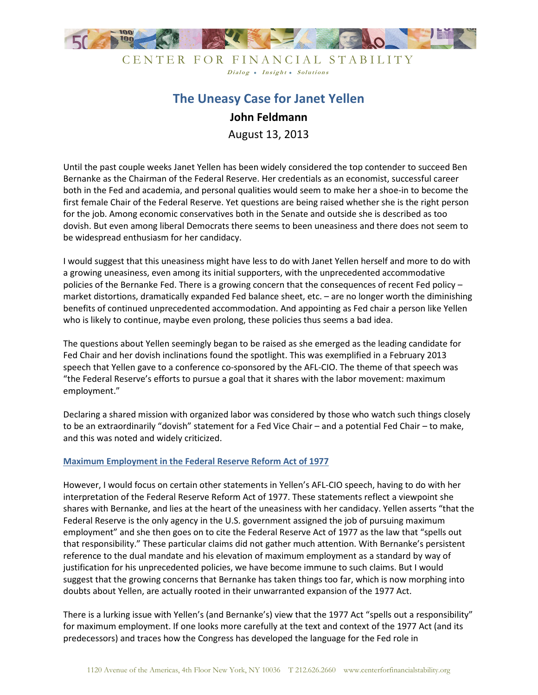

CENTER FOR FINANCIAL STABILITY Dialog . Insight . Solutions

# **The Uneasy Case for Janet Yellen John Feldmann**

August 13, 2013

Until the past couple weeks Janet Yellen has been widely considered the top contender to succeed Ben Bernanke as the Chairman of the Federal Reserve. Her credentials as an economist, successful career both in the Fed and academia, and personal qualities would seem to make her a shoe-in to become the first female Chair of the Federal Reserve. Yet questions are being raised whether she is the right person for the job. Among economic conservatives both in the Senate and outside she is described as too dovish. But even among liberal Democrats there seems to been uneasiness and there does not seem to be widespread enthusiasm for her candidacy.

I would suggest that this uneasiness might have less to do with Janet Yellen herself and more to do with a growing uneasiness, even among its initial supporters, with the unprecedented accommodative policies of the Bernanke Fed. There is a growing concern that the consequences of recent Fed policy – market distortions, dramatically expanded Fed balance sheet, etc. – are no longer worth the diminishing benefits of continued unprecedented accommodation. And appointing as Fed chair a person like Yellen who is likely to continue, maybe even prolong, these policies thus seems a bad idea.

The questions about Yellen seemingly began to be raised as she emerged as the leading candidate for Fed Chair and her dovish inclinations found the spotlight. This was exemplified in a February 2013 speech that Yellen gave to a conference co-sponsored by the AFL-CIO. The theme of that speech was "the Federal Reserve's efforts to pursue a goal that it shares with the labor movement: maximum employment."

Declaring a shared mission with organized labor was considered by those who watch such things closely to be an extraordinarily "dovish" statement for a Fed Vice Chair – and a potential Fed Chair – to make, and this was noted and widely criticized.

# **Maximum Employment in the Federal Reserve Reform Act of 1977**

However, I would focus on certain other statements in Yellen's AFL-CIO speech, having to do with her interpretation of the Federal Reserve Reform Act of 1977. These statements reflect a viewpoint she shares with Bernanke, and lies at the heart of the uneasiness with her candidacy. Yellen asserts "that the Federal Reserve is the only agency in the U.S. government assigned the job of pursuing maximum employment" and she then goes on to cite the Federal Reserve Act of 1977 as the law that "spells out that responsibility." These particular claims did not gather much attention. With Bernanke's persistent reference to the dual mandate and his elevation of maximum employment as a standard by way of justification for his unprecedented policies, we have become immune to such claims. But I would suggest that the growing concerns that Bernanke has taken things too far, which is now morphing into doubts about Yellen, are actually rooted in their unwarranted expansion of the 1977 Act.

There is a lurking issue with Yellen's (and Bernanke's) view that the 1977 Act "spells out a responsibility" for maximum employment. If one looks more carefully at the text and context of the 1977 Act (and its predecessors) and traces how the Congress has developed the language for the Fed role in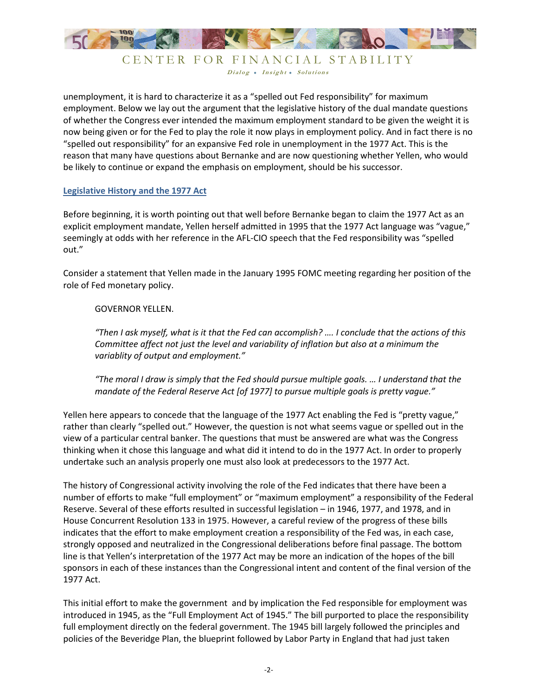

CENTER FOR FINANCIAL STABILITY Dialog . Insight . Solutions

unemployment, it is hard to characterize it as a "spelled out Fed responsibility" for maximum employment. Below we lay out the argument that the legislative history of the dual mandate questions of whether the Congress ever intended the maximum employment standard to be given the weight it is now being given or for the Fed to play the role it now plays in employment policy. And in fact there is no "spelled out responsibility" for an expansive Fed role in unemployment in the 1977 Act. This is the reason that many have questions about Bernanke and are now questioning whether Yellen, who would be likely to continue or expand the emphasis on employment, should be his successor.

# **Legislative History and the 1977 Act**

Before beginning, it is worth pointing out that well before Bernanke began to claim the 1977 Act as an explicit employment mandate, Yellen herself admitted in 1995 that the 1977 Act language was "vague," seemingly at odds with her reference in the AFL-CIO speech that the Fed responsibility was "spelled out."

Consider a statement that Yellen made in the January 1995 FOMC meeting regarding her position of the role of Fed monetary policy.

# GOVERNOR YELLEN.

*"Then I ask myself, what is it that the Fed can accomplish? …. I conclude that the actions of this Committee affect not just the level and variability of inflation but also at a minimum the variablity of output and employment."* 

*"The moral I draw is simply that the Fed should pursue multiple goals. … I understand that the mandate of the Federal Reserve Act [of 1977] to pursue multiple goals is pretty vague."*

Yellen here appears to concede that the language of the 1977 Act enabling the Fed is "pretty vague," rather than clearly "spelled out." However, the question is not what seems vague or spelled out in the view of a particular central banker. The questions that must be answered are what was the Congress thinking when it chose this language and what did it intend to do in the 1977 Act. In order to properly undertake such an analysis properly one must also look at predecessors to the 1977 Act.

The history of Congressional activity involving the role of the Fed indicates that there have been a number of efforts to make "full employment" or "maximum employment" a responsibility of the Federal Reserve. Several of these efforts resulted in successful legislation – in 1946, 1977, and 1978, and in House Concurrent Resolution 133 in 1975. However, a careful review of the progress of these bills indicates that the effort to make employment creation a responsibility of the Fed was, in each case, strongly opposed and neutralized in the Congressional deliberations before final passage. The bottom line is that Yellen's interpretation of the 1977 Act may be more an indication of the hopes of the bill sponsors in each of these instances than the Congressional intent and content of the final version of the 1977 Act.

This initial effort to make the government and by implication the Fed responsible for employment was introduced in 1945, as the "Full Employment Act of 1945." The bill purported to place the responsibility full employment directly on the federal government. The 1945 bill largely followed the principles and policies of the Beveridge Plan, the blueprint followed by Labor Party in England that had just taken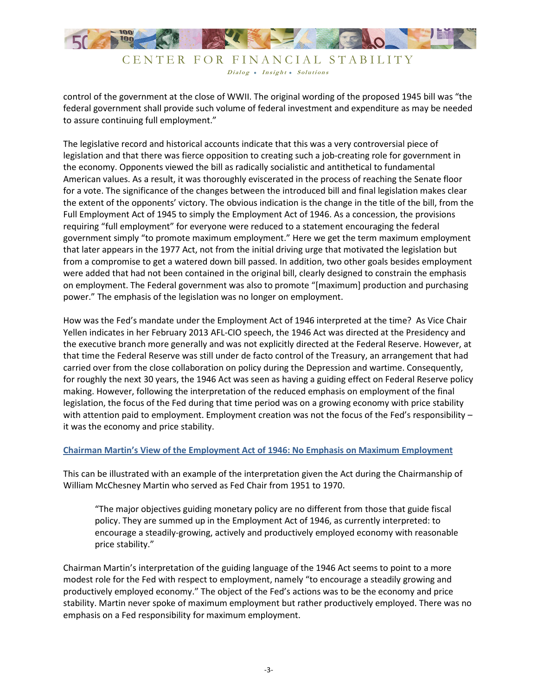

Dialog . Insight . Solutions

control of the government at the close of WWII. The original wording of the proposed 1945 bill was "the federal government shall provide such volume of federal investment and expenditure as may be needed to assure continuing full employment."

The legislative record and historical accounts indicate that this was a very controversial piece of legislation and that there was fierce opposition to creating such a job-creating role for government in the economy. Opponents viewed the bill as radically socialistic and antithetical to fundamental American values. As a result, it was thoroughly eviscerated in the process of reaching the Senate floor for a vote. The significance of the changes between the introduced bill and final legislation makes clear the extent of the opponents' victory. The obvious indication is the change in the title of the bill, from the Full Employment Act of 1945 to simply the Employment Act of 1946. As a concession, the provisions requiring "full employment" for everyone were reduced to a statement encouraging the federal government simply "to promote maximum employment." Here we get the term maximum employment that later appears in the 1977 Act, not from the initial driving urge that motivated the legislation but from a compromise to get a watered down bill passed. In addition, two other goals besides employment were added that had not been contained in the original bill, clearly designed to constrain the emphasis on employment. The Federal government was also to promote "[maximum] production and purchasing power." The emphasis of the legislation was no longer on employment.

How was the Fed's mandate under the Employment Act of 1946 interpreted at the time? As Vice Chair Yellen indicates in her February 2013 AFL-CIO speech, the 1946 Act was directed at the Presidency and the executive branch more generally and was not explicitly directed at the Federal Reserve. However, at that time the Federal Reserve was still under de facto control of the Treasury, an arrangement that had carried over from the close collaboration on policy during the Depression and wartime. Consequently, for roughly the next 30 years, the 1946 Act was seen as having a guiding effect on Federal Reserve policy making. However, following the interpretation of the reduced emphasis on employment of the final legislation, the focus of the Fed during that time period was on a growing economy with price stability with attention paid to employment. Employment creation was not the focus of the Fed's responsibility it was the economy and price stability.

# **Chairman Martin's View of the Employment Act of 1946: No Emphasis on Maximum Employment**

This can be illustrated with an example of the interpretation given the Act during the Chairmanship of William McChesney Martin who served as Fed Chair from 1951 to 1970.

"The major objectives guiding monetary policy are no different from those that guide fiscal policy. They are summed up in the Employment Act of 1946, as currently interpreted: to encourage a steadily-growing, actively and productively employed economy with reasonable price stability."

Chairman Martin's interpretation of the guiding language of the 1946 Act seems to point to a more modest role for the Fed with respect to employment, namely "to encourage a steadily growing and productively employed economy." The object of the Fed's actions was to be the economy and price stability. Martin never spoke of maximum employment but rather productively employed. There was no emphasis on a Fed responsibility for maximum employment.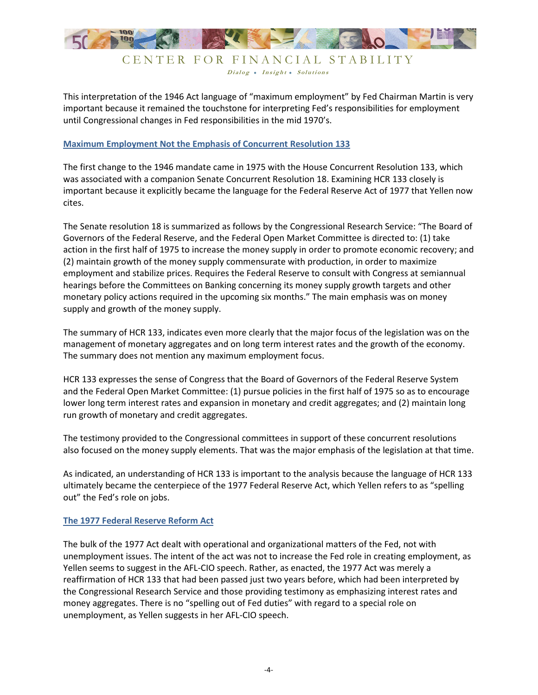

Dialog . Insight . Solutions This interpretation of the 1946 Act language of "maximum employment" by Fed Chairman Martin is very important because it remained the touchstone for interpreting Fed's responsibilities for employment

# **Maximum Employment Not the Emphasis of Concurrent Resolution 133**

until Congressional changes in Fed responsibilities in the mid 1970's.

The first change to the 1946 mandate came in 1975 with the House Concurrent Resolution 133, which was associated with a companion Senate Concurrent Resolution 18. Examining HCR 133 closely is important because it explicitly became the language for the Federal Reserve Act of 1977 that Yellen now cites.

The Senate resolution 18 is summarized as follows by the Congressional Research Service: "The Board of Governors of the Federal Reserve, and the Federal Open Market Committee is directed to: (1) take action in the first half of 1975 to increase the money supply in order to promote economic recovery; and (2) maintain growth of the money supply commensurate with production, in order to maximize employment and stabilize prices. Requires the Federal Reserve to consult with Congress at semiannual hearings before the Committees on Banking concerning its money supply growth targets and other monetary policy actions required in the upcoming six months." The main emphasis was on money supply and growth of the money supply.

The summary of HCR 133, indicates even more clearly that the major focus of the legislation was on the management of monetary aggregates and on long term interest rates and the growth of the economy. The summary does not mention any maximum employment focus.

HCR 133 expresses the sense of Congress that the Board of Governors of the Federal Reserve System and the Federal Open Market Committee: (1) pursue policies in the first half of 1975 so as to encourage lower long term interest rates and expansion in monetary and credit aggregates; and (2) maintain long run growth of monetary and credit aggregates.

The testimony provided to the Congressional committees in support of these concurrent resolutions also focused on the money supply elements. That was the major emphasis of the legislation at that time.

As indicated, an understanding of HCR 133 is important to the analysis because the language of HCR 133 ultimately became the centerpiece of the 1977 Federal Reserve Act, which Yellen refers to as "spelling out" the Fed's role on jobs.

#### **The 1977 Federal Reserve Reform Act**

The bulk of the 1977 Act dealt with operational and organizational matters of the Fed, not with unemployment issues. The intent of the act was not to increase the Fed role in creating employment, as Yellen seems to suggest in the AFL-CIO speech. Rather, as enacted, the 1977 Act was merely a reaffirmation of HCR 133 that had been passed just two years before, which had been interpreted by the Congressional Research Service and those providing testimony as emphasizing interest rates and money aggregates. There is no "spelling out of Fed duties" with regard to a special role on unemployment, as Yellen suggests in her AFL-CIO speech.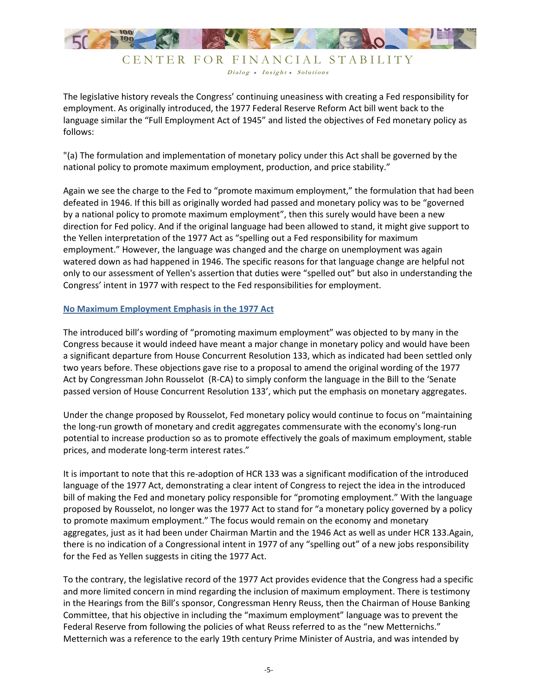

Dialog . Insight . Solutions

The legislative history reveals the Congress' continuing uneasiness with creating a Fed responsibility for employment. As originally introduced, the 1977 Federal Reserve Reform Act bill went back to the language similar the "Full Employment Act of 1945" and listed the objectives of Fed monetary policy as follows:

"(a) The formulation and implementation of monetary policy under this Act shall be governed by the national policy to promote maximum employment, production, and price stability."

Again we see the charge to the Fed to "promote maximum employment," the formulation that had been defeated in 1946. If this bill as originally worded had passed and monetary policy was to be "governed by a national policy to promote maximum employment", then this surely would have been a new direction for Fed policy. And if the original language had been allowed to stand, it might give support to the Yellen interpretation of the 1977 Act as "spelling out a Fed responsibility for maximum employment." However, the language was changed and the charge on unemployment was again watered down as had happened in 1946. The specific reasons for that language change are helpful not only to our assessment of Yellen's assertion that duties were "spelled out" but also in understanding the Congress' intent in 1977 with respect to the Fed responsibilities for employment.

# **No Maximum Employment Emphasis in the 1977 Act**

The introduced bill's wording of "promoting maximum employment" was objected to by many in the Congress because it would indeed have meant a major change in monetary policy and would have been a significant departure from House Concurrent Resolution 133, which as indicated had been settled only two years before. These objections gave rise to a proposal to amend the original wording of the 1977 Act by Congressman John Rousselot (R-CA) to simply conform the language in the Bill to the 'Senate passed version of House Concurrent Resolution 133', which put the emphasis on monetary aggregates.

Under the change proposed by Rousselot, Fed monetary policy would continue to focus on "maintaining the long-run growth of monetary and credit aggregates commensurate with the economy's long-run potential to increase production so as to promote effectively the goals of maximum employment, stable prices, and moderate long-term interest rates."

It is important to note that this re-adoption of HCR 133 was a significant modification of the introduced language of the 1977 Act, demonstrating a clear intent of Congress to reject the idea in the introduced bill of making the Fed and monetary policy responsible for "promoting employment." With the language proposed by Rousselot, no longer was the 1977 Act to stand for "a monetary policy governed by a policy to promote maximum employment." The focus would remain on the economy and monetary aggregates, just as it had been under Chairman Martin and the 1946 Act as well as under HCR 133.Again, there is no indication of a Congressional intent in 1977 of any "spelling out" of a new jobs responsibility for the Fed as Yellen suggests in citing the 1977 Act.

To the contrary, the legislative record of the 1977 Act provides evidence that the Congress had a specific and more limited concern in mind regarding the inclusion of maximum employment. There is testimony in the Hearings from the Bill's sponsor, Congressman Henry Reuss, then the Chairman of House Banking Committee, that his objective in including the "maximum employment" language was to prevent the Federal Reserve from following the policies of what Reuss referred to as the "new Metternichs." Metternich was a reference to the early 19th century Prime Minister of Austria, and was intended by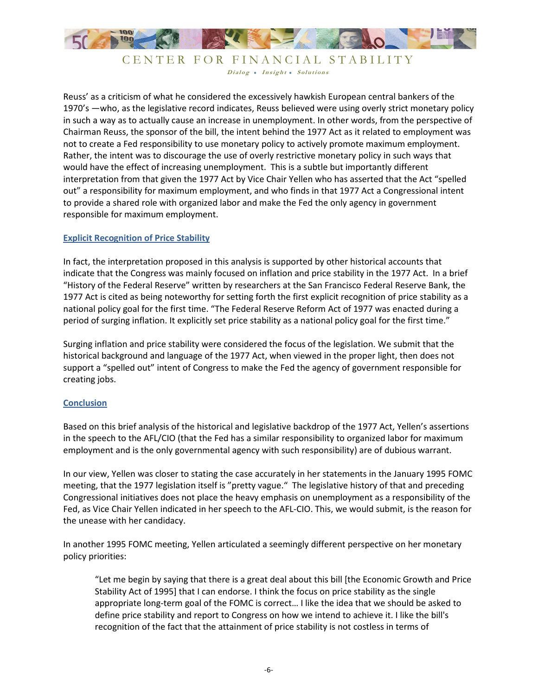

CENTER FOR FINANCIAL STABILITY Dialog . Insight . Solutions

Reuss' as a criticism of what he considered the excessively hawkish European central bankers of the 1970's —who, as the legislative record indicates, Reuss believed were using overly strict monetary policy in such a way as to actually cause an increase in unemployment. In other words, from the perspective of Chairman Reuss, the sponsor of the bill, the intent behind the 1977 Act as it related to employment was not to create a Fed responsibility to use monetary policy to actively promote maximum employment. Rather, the intent was to discourage the use of overly restrictive monetary policy in such ways that would have the effect of increasing unemployment. This is a subtle but importantly different interpretation from that given the 1977 Act by Vice Chair Yellen who has asserted that the Act "spelled out" a responsibility for maximum employment, and who finds in that 1977 Act a Congressional intent to provide a shared role with organized labor and make the Fed the only agency in government responsible for maximum employment.

# **Explicit Recognition of Price Stability**

In fact, the interpretation proposed in this analysis is supported by other historical accounts that indicate that the Congress was mainly focused on inflation and price stability in the 1977 Act. In a brief "History of the Federal Reserve" written by researchers at the San Francisco Federal Reserve Bank, the 1977 Act is cited as being noteworthy for setting forth the first explicit recognition of price stability as a national policy goal for the first time. "The Federal Reserve Reform Act of 1977 was enacted during a period of surging inflation. It explicitly set price stability as a national policy goal for the first time."

Surging inflation and price stability were considered the focus of the legislation. We submit that the historical background and language of the 1977 Act, when viewed in the proper light, then does not support a "spelled out" intent of Congress to make the Fed the agency of government responsible for creating jobs.

# **Conclusion**

Based on this brief analysis of the historical and legislative backdrop of the 1977 Act, Yellen's assertions in the speech to the AFL/CIO (that the Fed has a similar responsibility to organized labor for maximum employment and is the only governmental agency with such responsibility) are of dubious warrant.

In our view, Yellen was closer to stating the case accurately in her statements in the January 1995 FOMC meeting, that the 1977 legislation itself is "pretty vague." The legislative history of that and preceding Congressional initiatives does not place the heavy emphasis on unemployment as a responsibility of the Fed, as Vice Chair Yellen indicated in her speech to the AFL-CIO. This, we would submit, is the reason for the unease with her candidacy.

In another 1995 FOMC meeting, Yellen articulated a seemingly different perspective on her monetary policy priorities:

"Let me begin by saying that there is a great deal about this bill [the Economic Growth and Price Stability Act of 1995] that I can endorse. I think the focus on price stability as the single appropriate long-term goal of the FOMC is correct… I like the idea that we should be asked to define price stability and report to Congress on how we intend to achieve it. I like the bill's recognition of the fact that the attainment of price stability is not costless in terms of